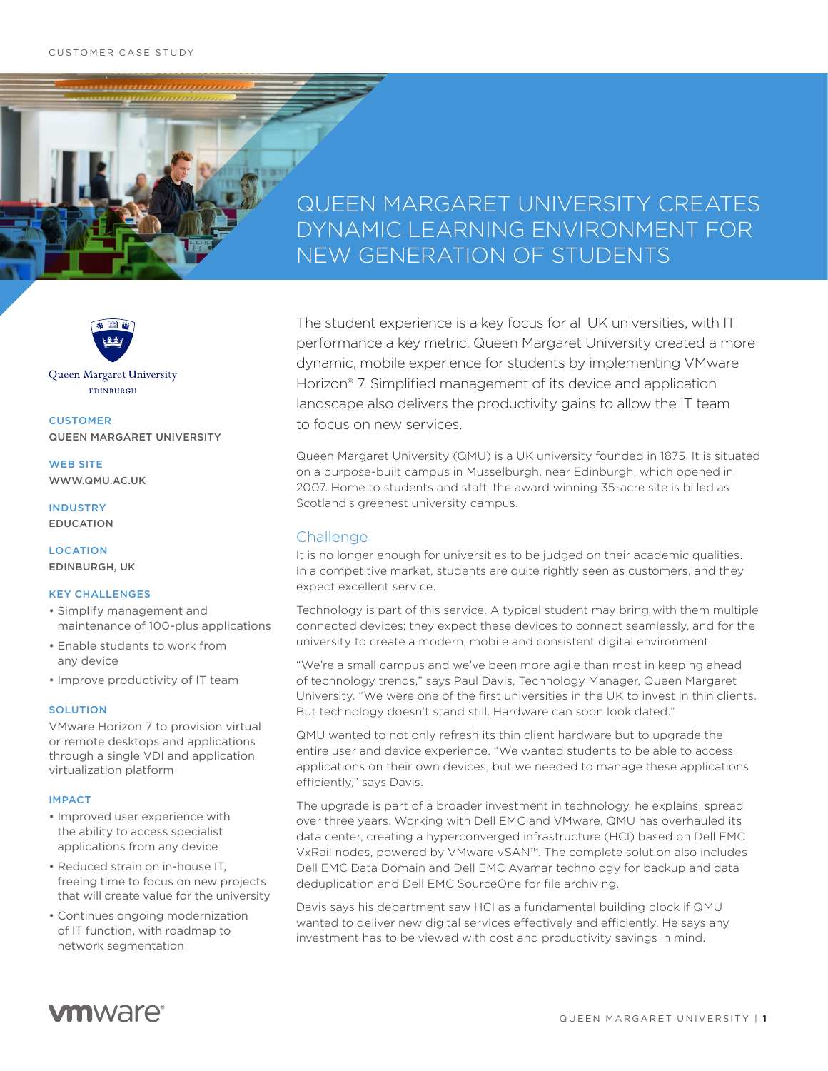# QUEEN MARGARET UNIVERSITY CREATES DYNAMIC LEARNING ENVIRONMENT FOR NEW GENERATION OF STUDENTS



Queen Margaret University EDINBURGH

**CUSTOMER** QUEEN MARGARET UNIVERSITY

WEB SITE WWW.QMU.AC.UK

INDUSTRY EDUCATION

**LOCATION** EDINBURGH, UK

### KEY CHALLENGES

- Simplify management and maintenance of 100-plus applications
- Enable students to work from any device
- Improve productivity of IT team

### **SOLUTION**

VMware Horizon 7 to provision virtual or remote desktops and applications through a single VDI and application virtualization platform

### IMPACT

- Improved user experience with the ability to access specialist applications from any device
- Reduced strain on in-house IT, freeing time to focus on new projects that will create value for the university
- Continues ongoing modernization of IT function, with roadmap to network segmentation

The student experience is a key focus for all UK universities, with IT performance a key metric. Queen Margaret University created a more dynamic, mobile experience for students by implementing VMware Horizon® 7. Simplified management of its device and application landscape also delivers the productivity gains to allow the IT team to focus on new services.

Queen Margaret University (QMU) is a UK university founded in 1875. It is situated on a purpose-built campus in Musselburgh, near Edinburgh, which opened in 2007. Home to students and staff, the award winning 35-acre site is billed as Scotland's greenest university campus.

### Challenge

It is no longer enough for universities to be judged on their academic qualities. In a competitive market, students are quite rightly seen as customers, and they expect excellent service.

Technology is part of this service. A typical student may bring with them multiple connected devices; they expect these devices to connect seamlessly, and for the university to create a modern, mobile and consistent digital environment.

"We're a small campus and we've been more agile than most in keeping ahead of technology trends," says Paul Davis, Technology Manager, Queen Margaret University. "We were one of the first universities in the UK to invest in thin clients. But technology doesn't stand still. Hardware can soon look dated."

QMU wanted to not only refresh its thin client hardware but to upgrade the entire user and device experience. "We wanted students to be able to access applications on their own devices, but we needed to manage these applications efficiently," says Davis.

The upgrade is part of a broader investment in technology, he explains, spread over three years. Working with Dell EMC and VMware, QMU has overhauled its data center, creating a hyperconverged infrastructure (HCI) based on Dell EMC VxRail nodes, powered by VMware vSAN™. The complete solution also includes Dell EMC Data Domain and Dell EMC Avamar technology for backup and data deduplication and Dell EMC SourceOne for file archiving.

Davis says his department saw HCI as a fundamental building block if QMU wanted to deliver new digital services effectively and efficiently. He says any investment has to be viewed with cost and productivity savings in mind.

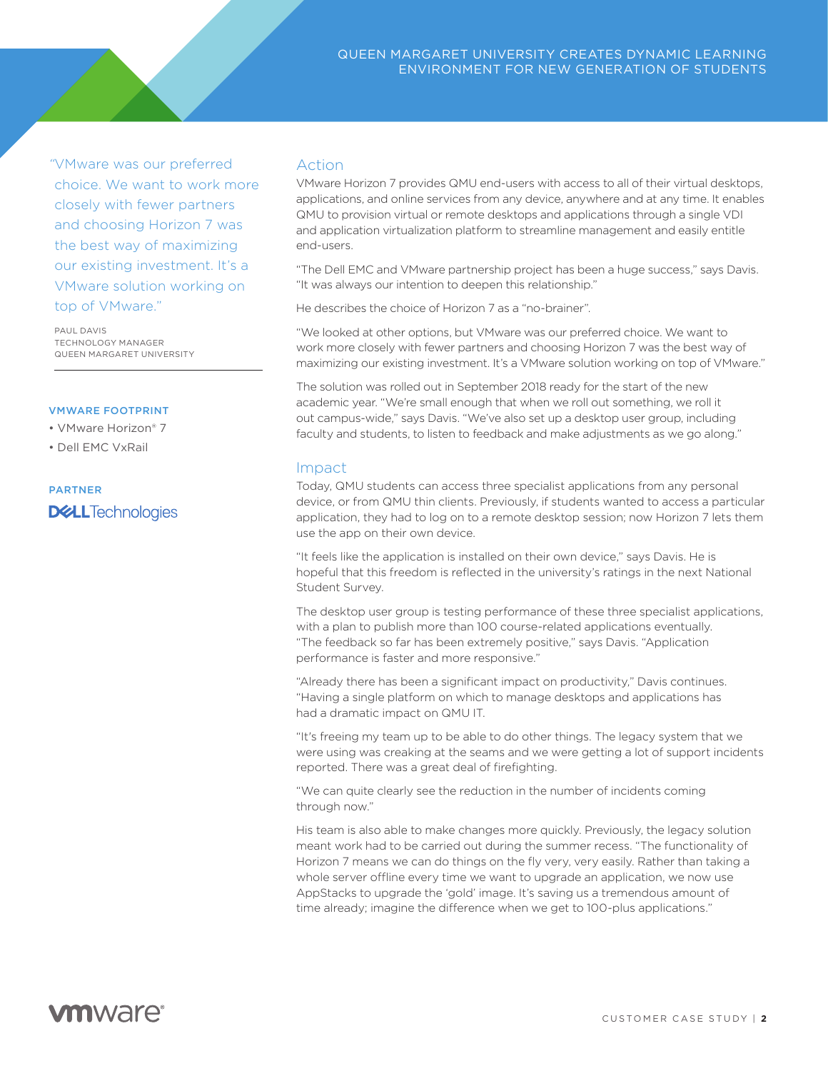*"*VMware was our preferred choice. We want to work more closely with fewer partners and choosing Horizon 7 was the best way of maximizing our existing investment. It's a VMware solution working on top of VMware."

PAUL DAVIS TECHNOLOGY MANAGER QUEEN MARGARET UNIVERSITY

### VMWARE FOOTPRINT

• VMware Horizon® 7

• Dell EMC VxRail

# PARTNER**DELL**Technologies

### Action

VMware Horizon 7 provides QMU end-users with access to all of their virtual desktops, applications, and online services from any device, anywhere and at any time. It enables QMU to provision virtual or remote desktops and applications through a single VDI and application virtualization platform to streamline management and easily entitle end-users.

"The Dell EMC and VMware partnership project has been a huge success," says Davis. "It was always our intention to deepen this relationship."

He describes the choice of Horizon 7 as a "no-brainer".

"We looked at other options, but VMware was our preferred choice. We want to work more closely with fewer partners and choosing Horizon 7 was the best way of maximizing our existing investment. It's a VMware solution working on top of VMware."

The solution was rolled out in September 2018 ready for the start of the new academic year. "We're small enough that when we roll out something, we roll it out campus-wide," says Davis. "We've also set up a desktop user group, including faculty and students, to listen to feedback and make adjustments as we go along."

## Impact

Today, QMU students can access three specialist applications from any personal device, or from QMU thin clients. Previously, if students wanted to access a particular application, they had to log on to a remote desktop session; now Horizon 7 lets them use the app on their own device.

"It feels like the application is installed on their own device," says Davis. He is hopeful that this freedom is reflected in the university's ratings in the next National Student Survey.

The desktop user group is testing performance of these three specialist applications, with a plan to publish more than 100 course-related applications eventually. "The feedback so far has been extremely positive," says Davis. "Application performance is faster and more responsive."

"Already there has been a significant impact on productivity," Davis continues. "Having a single platform on which to manage desktops and applications has had a dramatic impact on QMU IT.

"It's freeing my team up to be able to do other things. The legacy system that we were using was creaking at the seams and we were getting a lot of support incidents reported. There was a great deal of firefighting.

"We can quite clearly see the reduction in the number of incidents coming through now."

His team is also able to make changes more quickly. Previously, the legacy solution meant work had to be carried out during the summer recess. "The functionality of Horizon 7 means we can do things on the fly very, very easily. Rather than taking a whole server offline every time we want to upgrade an application, we now use AppStacks to upgrade the 'gold' image. It's saving us a tremendous amount of time already; imagine the difference when we get to 100-plus applications."

# **vm**ware<sup>®</sup>